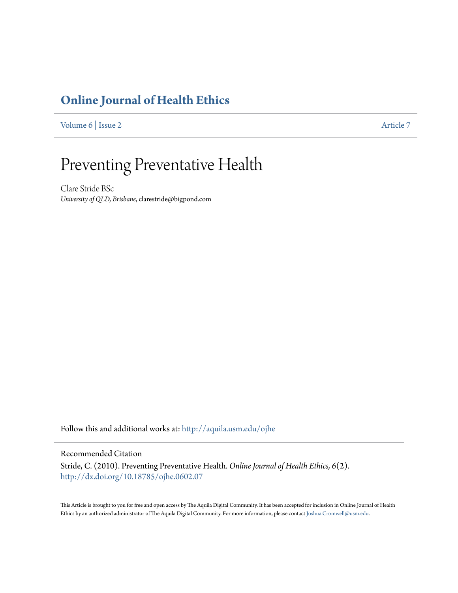### **[Online Journal of Health Ethics](http://aquila.usm.edu/ojhe?utm_source=aquila.usm.edu%2Fojhe%2Fvol6%2Fiss2%2F7&utm_medium=PDF&utm_campaign=PDFCoverPages)**

[Volume 6](http://aquila.usm.edu/ojhe/vol6?utm_source=aquila.usm.edu%2Fojhe%2Fvol6%2Fiss2%2F7&utm_medium=PDF&utm_campaign=PDFCoverPages) | [Issue 2](http://aquila.usm.edu/ojhe/vol6/iss2?utm_source=aquila.usm.edu%2Fojhe%2Fvol6%2Fiss2%2F7&utm_medium=PDF&utm_campaign=PDFCoverPages) [Article 7](http://aquila.usm.edu/ojhe/vol6/iss2/7?utm_source=aquila.usm.edu%2Fojhe%2Fvol6%2Fiss2%2F7&utm_medium=PDF&utm_campaign=PDFCoverPages)

# Preventing Preventative Health

Clare Stride BSc *University of QLD, Brisbane*, clarestride@bigpond.com

Follow this and additional works at: [http://aquila.usm.edu/ojhe](http://aquila.usm.edu/ojhe?utm_source=aquila.usm.edu%2Fojhe%2Fvol6%2Fiss2%2F7&utm_medium=PDF&utm_campaign=PDFCoverPages)

#### Recommended Citation

Stride, C. (2010). Preventing Preventative Health. *Online Journal of Health Ethics, 6*(2). <http://dx.doi.org/10.18785/ojhe.0602.07>

This Article is brought to you for free and open access by The Aquila Digital Community. It has been accepted for inclusion in Online Journal of Health Ethics by an authorized administrator of The Aquila Digital Community. For more information, please contact [Joshua.Cromwell@usm.edu.](mailto:Joshua.Cromwell@usm.edu)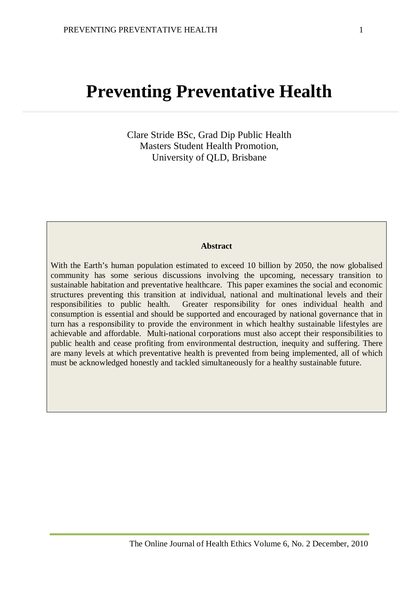## **Preventing Preventative Health**

Clare Stride BSc, Grad Dip Public Health Masters Student Health Promotion, University of QLD, Brisbane

#### **Abstract**

With the Earth's human population estimated to exceed 10 billion by 2050, the now globalised community has some serious discussions involving the upcoming, necessary transition to sustainable habitation and preventative healthcare. This paper examines the social and economic structures preventing this transition at individual, national and multinational levels and their responsibilities to public health. Greater responsibility for ones individual health and consumption is essential and should be supported and encouraged by national governance that in turn has a responsibility to provide the environment in which healthy sustainable lifestyles are achievable and affordable. Multi-national corporations must also accept their responsibilities to public health and cease profiting from environmental destruction, inequity and suffering. There are many levels at which preventative health is prevented from being implemented, all of which must be acknowledged honestly and tackled simultaneously for a healthy sustainable future.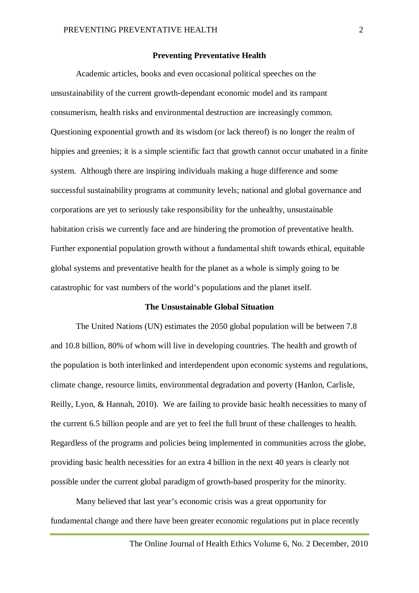#### **Preventing Preventative Health**

Academic articles, books and even occasional political speeches on the unsustainability of the current growth-dependant economic model and its rampant consumerism, health risks and environmental destruction are increasingly common. Questioning exponential growth and its wisdom (or lack thereof) is no longer the realm of hippies and greenies; it is a simple scientific fact that growth cannot occur unabated in a finite system. Although there are inspiring individuals making a huge difference and some successful sustainability programs at community levels; national and global governance and corporations are yet to seriously take responsibility for the unhealthy, unsustainable habitation crisis we currently face and are hindering the promotion of preventative health. Further exponential population growth without a fundamental shift towards ethical, equitable global systems and preventative health for the planet as a whole is simply going to be catastrophic for vast numbers of the world's populations and the planet itself.

#### **The Unsustainable Global Situation**

The United Nations (UN) estimates the 2050 global population will be between 7.8 and 10.8 billion, 80% of whom will live in developing countries. The health and growth of the population is both interlinked and interdependent upon economic systems and regulations, climate change, resource limits, environmental degradation and poverty (Hanlon, Carlisle, Reilly, Lyon, & Hannah, 2010). We are failing to provide basic health necessities to many of the current 6.5 billion people and are yet to feel the full brunt of these challenges to health. Regardless of the programs and policies being implemented in communities across the globe, providing basic health necessities for an extra 4 billion in the next 40 years is clearly not possible under the current global paradigm of growth-based prosperity for the minority.

Many believed that last year's economic crisis was a great opportunity for fundamental change and there have been greater economic regulations put in place recently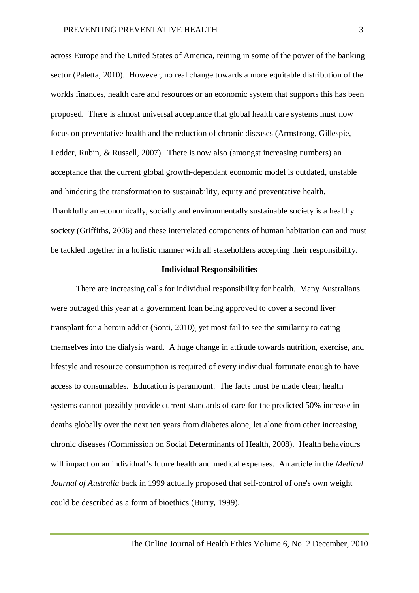across Europe and the United States of America, reining in some of the power of the banking sector (Paletta, 2010). However, no real change towards a more equitable distribution of the worlds finances, health care and resources or an economic system that supports this has been proposed. There is almost universal acceptance that global health care systems must now focus on preventative health and the reduction of chronic diseases (Armstrong, Gillespie, Ledder, Rubin, & Russell, 2007). There is now also (amongst increasing numbers) an acceptance that the current global growth-dependant economic model is outdated, unstable and hindering the transformation to sustainability, equity and preventative health. Thankfully an economically, socially and environmentally sustainable society is a healthy society (Griffiths, 2006) and these interrelated components of human habitation can and must be tackled together in a holistic manner with all stakeholders accepting their responsibility.

#### **Individual Responsibilities**

There are increasing calls for individual responsibility for health. Many Australians were outraged this year at a government loan being approved to cover a second liver transplant for a heroin addict (Sonti, 2010), yet most fail to see the similarity to eating themselves into the dialysis ward. A huge change in attitude towards nutrition, exercise, and lifestyle and resource consumption is required of every individual fortunate enough to have access to consumables. Education is paramount. The facts must be made clear; health systems cannot possibly provide current standards of care for the predicted 50% increase in deaths globally over the next ten years from diabetes alone, let alone from other increasing chronic diseases (Commission on Social Determinants of Health, 2008). Health behaviours will impact on an individual's future health and medical expenses. An article in the *Medical Journal of Australia* back in 1999 actually proposed that self-control of one's own weight could be described as a form of bioethics (Burry, 1999).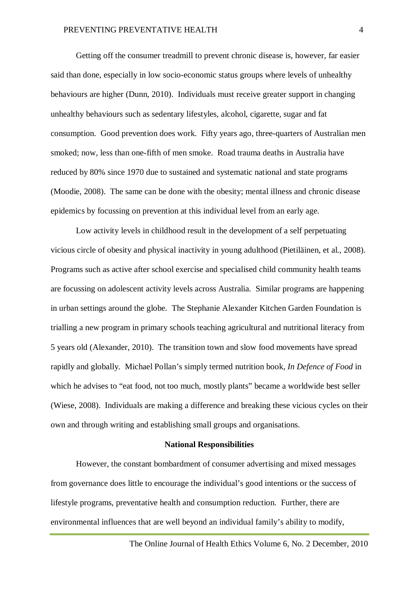Getting off the consumer treadmill to prevent chronic disease is, however, far easier said than done, especially in low socio-economic status groups where levels of unhealthy behaviours are higher (Dunn, 2010). Individuals must receive greater support in changing unhealthy behaviours such as sedentary lifestyles, alcohol, cigarette, sugar and fat consumption. Good prevention does work. Fifty years ago, three-quarters of Australian men smoked; now, less than one-fifth of men smoke. Road trauma deaths in Australia have reduced by 80% since 1970 due to sustained and systematic national and state programs (Moodie, 2008). The same can be done with the obesity; mental illness and chronic disease epidemics by focussing on prevention at this individual level from an early age.

Low activity levels in childhood result in the development of a self perpetuating vicious circle of obesity and physical inactivity in young adulthood (Pietiläinen, et al., 2008). Programs such as active after school exercise and specialised child community health teams are focussing on adolescent activity levels across Australia. Similar programs are happening in urban settings around the globe. The Stephanie Alexander Kitchen Garden Foundation is trialling a new program in primary schools teaching agricultural and nutritional literacy from 5 years old (Alexander, 2010). The transition town and slow food movements have spread rapidly and globally. Michael Pollan's simply termed nutrition book, *In Defence of Food* in which he advises to "eat food, not too much, mostly plants" became a worldwide best seller (Wiese, 2008). Individuals are making a difference and breaking these vicious cycles on their own and through writing and establishing small groups and organisations.

#### **National Responsibilities**

However, the constant bombardment of consumer advertising and mixed messages from governance does little to encourage the individual's good intentions or the success of lifestyle programs, preventative health and consumption reduction. Further, there are environmental influences that are well beyond an individual family's ability to modify,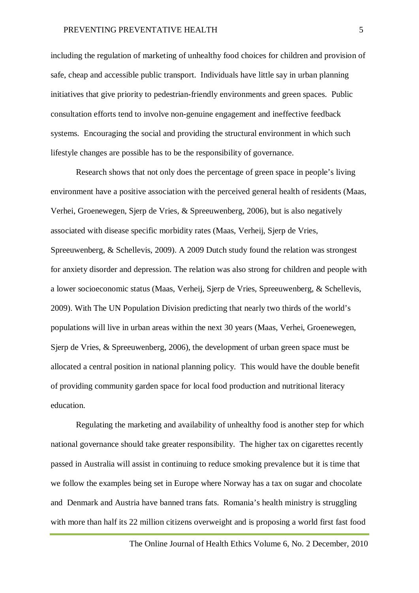including the regulation of marketing of unhealthy food choices for children and provision of safe, cheap and accessible public transport. Individuals have little say in urban planning initiatives that give priority to pedestrian-friendly environments and green spaces. Public consultation efforts tend to involve non-genuine engagement and ineffective feedback systems. Encouraging the social and providing the structural environment in which such lifestyle changes are possible has to be the responsibility of governance.

Research shows that not only does the percentage of green space in people's living environment have a positive association with the perceived general health of residents (Maas, Verhei, Groenewegen, Sjerp de Vries, & Spreeuwenberg, 2006), but is also negatively associated with disease specific morbidity rates (Maas, Verheij, Sjerp de Vries, Spreeuwenberg, & Schellevis, 2009). A 2009 Dutch study found the relation was strongest for anxiety disorder and depression. The relation was also strong for children and people with a lower socioeconomic status (Maas, Verheij, Sjerp de Vries, Spreeuwenberg, & Schellevis, 2009). With The UN Population Division predicting that nearly two thirds of the world's populations will live in urban areas within the next 30 years (Maas, Verhei, Groenewegen, Sjerp de Vries, & Spreeuwenberg, 2006), the development of urban green space must be allocated a central position in national planning policy. This would have the double benefit of providing community garden space for local food production and nutritional literacy education.

Regulating the marketing and availability of unhealthy food is another step for which national governance should take greater responsibility. The higher tax on cigarettes recently passed in Australia will assist in continuing to reduce smoking prevalence but it is time that we follow the examples being set in Europe where Norway has a tax on sugar and chocolate and Denmark and Austria have banned trans fats. Romania's health ministry is struggling with more than half its 22 million citizens overweight and is proposing a world first fast food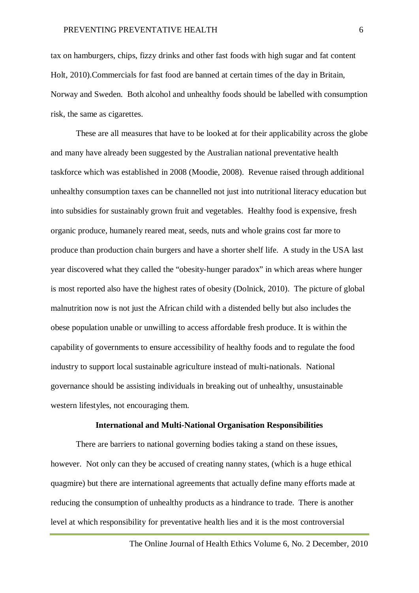tax on hamburgers, chips, fizzy drinks and other fast foods with high sugar and fat content Holt, 2010).Commercials for fast food are banned at certain times of the day in Britain, Norway and Sweden. Both alcohol and unhealthy foods should be labelled with consumption risk, the same as cigarettes.

These are all measures that have to be looked at for their applicability across the globe and many have already been suggested by the Australian national preventative health taskforce which was established in 2008 (Moodie, 2008). Revenue raised through additional unhealthy consumption taxes can be channelled not just into nutritional literacy education but into subsidies for sustainably grown fruit and vegetables. Healthy food is expensive, fresh organic produce, humanely reared meat, seeds, nuts and whole grains cost far more to produce than production chain burgers and have a shorter shelf life. A study in the USA last year discovered what they called the "obesity-hunger paradox" in which areas where hunger is most reported also have the highest rates of obesity (Dolnick, 2010). The picture of global malnutrition now is not just the African child with a distended belly but also includes the obese population unable or unwilling to access affordable fresh produce. It is within the capability of governments to ensure accessibility of healthy foods and to regulate the food industry to support local sustainable agriculture instead of multi-nationals. National governance should be assisting individuals in breaking out of unhealthy, unsustainable western lifestyles, not encouraging them.

#### **International and Multi-National Organisation Responsibilities**

There are barriers to national governing bodies taking a stand on these issues, however. Not only can they be accused of creating nanny states, (which is a huge ethical quagmire) but there are international agreements that actually define many efforts made at reducing the consumption of unhealthy products as a hindrance to trade. There is another level at which responsibility for preventative health lies and it is the most controversial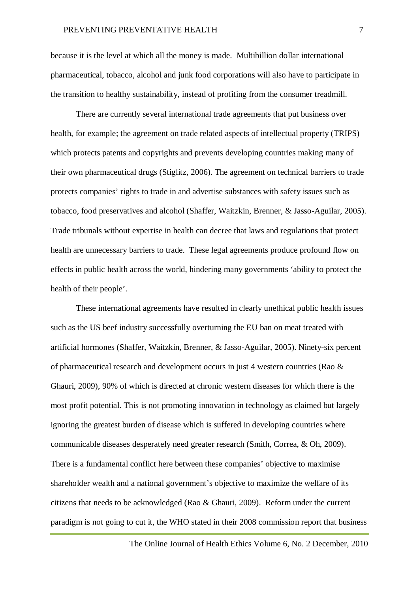because it is the level at which all the money is made. Multibillion dollar international pharmaceutical, tobacco, alcohol and junk food corporations will also have to participate in the transition to healthy sustainability, instead of profiting from the consumer treadmill.

There are currently several international trade agreements that put business over health, for example; the agreement on trade related aspects of intellectual property (TRIPS) which protects patents and copyrights and prevents developing countries making many of their own pharmaceutical drugs (Stiglitz, 2006). The agreement on technical barriers to trade protects companies' rights to trade in and advertise substances with safety issues such as tobacco, food preservatives and alcohol (Shaffer, Waitzkin, Brenner, & Jasso-Aguilar, 2005). Trade tribunals without expertise in health can decree that laws and regulations that protect health are unnecessary barriers to trade. These legal agreements produce profound flow on effects in public health across the world, hindering many governments 'ability to protect the health of their people'.

These international agreements have resulted in clearly unethical public health issues such as the US beef industry successfully overturning the EU ban on meat treated with artificial hormones (Shaffer, Waitzkin, Brenner, & Jasso-Aguilar, 2005). Ninety-six percent of pharmaceutical research and development occurs in just 4 western countries (Rao & Ghauri, 2009), 90% of which is directed at chronic western diseases for which there is the most profit potential. This is not promoting innovation in technology as claimed but largely ignoring the greatest burden of disease which is suffered in developing countries where communicable diseases desperately need greater research (Smith, Correa, & Oh, 2009). There is a fundamental conflict here between these companies' objective to maximise shareholder wealth and a national government's objective to maximize the welfare of its citizens that needs to be acknowledged (Rao & Ghauri, 2009). Reform under the current paradigm is not going to cut it, the WHO stated in their 2008 commission report that business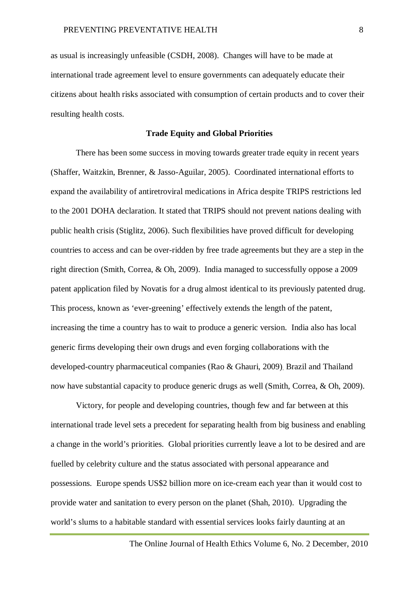as usual is increasingly unfeasible (CSDH, 2008). Changes will have to be made at international trade agreement level to ensure governments can adequately educate their citizens about health risks associated with consumption of certain products and to cover their resulting health costs.

#### **Trade Equity and Global Priorities**

There has been some success in moving towards greater trade equity in recent years (Shaffer, Waitzkin, Brenner, & Jasso-Aguilar, 2005). Coordinated international efforts to expand the availability of antiretroviral medications in Africa despite TRIPS restrictions led to the 2001 DOHA declaration. It stated that TRIPS should not prevent nations dealing with public health crisis (Stiglitz, 2006). Such flexibilities have proved difficult for developing countries to access and can be over-ridden by free trade agreements but they are a step in the right direction (Smith, Correa, & Oh, 2009). India managed to successfully oppose a 2009 patent application filed by Novatis for a drug almost identical to its previously patented drug. This process, known as 'ever-greening' effectively extends the length of the patent, increasing the time a country has to wait to produce a generic version. India also has local generic firms developing their own drugs and even forging collaborations with the developed-country pharmaceutical companies (Rao & Ghauri, 2009). Brazil and Thailand now have substantial capacity to produce generic drugs as well (Smith, Correa, & Oh, 2009).

Victory, for people and developing countries, though few and far between at this international trade level sets a precedent for separating health from big business and enabling a change in the world's priorities. Global priorities currently leave a lot to be desired and are fuelled by celebrity culture and the status associated with personal appearance and possessions. Europe spends US\$2 billion more on ice-cream each year than it would cost to provide water and sanitation to every person on the planet (Shah, 2010). Upgrading the world's slums to a habitable standard with essential services looks fairly daunting at an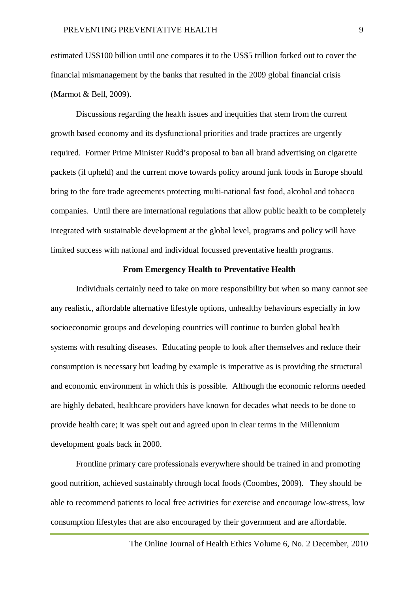estimated US\$100 billion until one compares it to the US\$5 trillion forked out to cover the financial mismanagement by the banks that resulted in the 2009 global financial crisis (Marmot & Bell, 2009).

Discussions regarding the health issues and inequities that stem from the current growth based economy and its dysfunctional priorities and trade practices are urgently required. Former Prime Minister Rudd's proposal to ban all brand advertising on cigarette packets (if upheld) and the current move towards policy around junk foods in Europe should bring to the fore trade agreements protecting multi-national fast food, alcohol and tobacco companies. Until there are international regulations that allow public health to be completely integrated with sustainable development at the global level, programs and policy will have limited success with national and individual focussed preventative health programs.

#### **From Emergency Health to Preventative Health**

Individuals certainly need to take on more responsibility but when so many cannot see any realistic, affordable alternative lifestyle options, unhealthy behaviours especially in low socioeconomic groups and developing countries will continue to burden global health systems with resulting diseases. Educating people to look after themselves and reduce their consumption is necessary but leading by example is imperative as is providing the structural and economic environment in which this is possible. Although the economic reforms needed are highly debated, healthcare providers have known for decades what needs to be done to provide health care; it was spelt out and agreed upon in clear terms in the Millennium development goals back in 2000.

Frontline primary care professionals everywhere should be trained in and promoting good nutrition, achieved sustainably through local foods (Coombes, 2009). They should be able to recommend patients to local free activities for exercise and encourage low-stress, low consumption lifestyles that are also encouraged by their government and are affordable.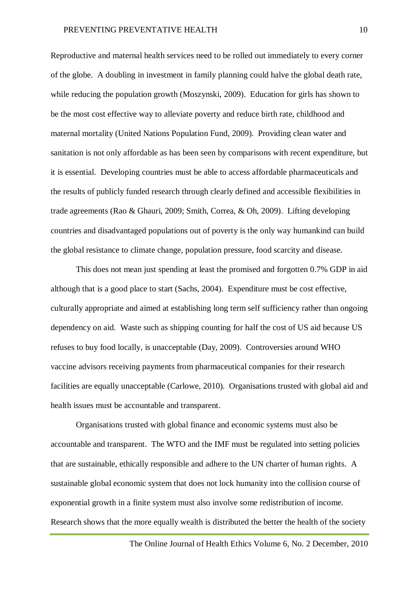Reproductive and maternal health services need to be rolled out immediately to every corner of the globe. A doubling in investment in family planning could halve the global death rate, while reducing the population growth (Moszynski, 2009). Education for girls has shown to be the most cost effective way to alleviate poverty and reduce birth rate, childhood and maternal mortality (United Nations Population Fund, 2009). Providing clean water and sanitation is not only affordable as has been seen by comparisons with recent expenditure, but it is essential. Developing countries must be able to access affordable pharmaceuticals and the results of publicly funded research through clearly defined and accessible flexibilities in trade agreements (Rao & Ghauri, 2009; Smith, Correa, & Oh, 2009). Lifting developing countries and disadvantaged populations out of poverty is the only way humankind can build the global resistance to climate change, population pressure, food scarcity and disease.

This does not mean just spending at least the promised and forgotten 0.7% GDP in aid although that is a good place to start (Sachs, 2004). Expenditure must be cost effective, culturally appropriate and aimed at establishing long term self sufficiency rather than ongoing dependency on aid. Waste such as shipping counting for half the cost of US aid because US refuses to buy food locally, is unacceptable (Day, 2009). Controversies around WHO vaccine advisors receiving payments from pharmaceutical companies for their research facilities are equally unacceptable (Carlowe, 2010). Organisations trusted with global aid and health issues must be accountable and transparent.

Organisations trusted with global finance and economic systems must also be accountable and transparent. The WTO and the IMF must be regulated into setting policies that are sustainable, ethically responsible and adhere to the UN charter of human rights. A sustainable global economic system that does not lock humanity into the collision course of exponential growth in a finite system must also involve some redistribution of income. Research shows that the more equally wealth is distributed the better the health of the society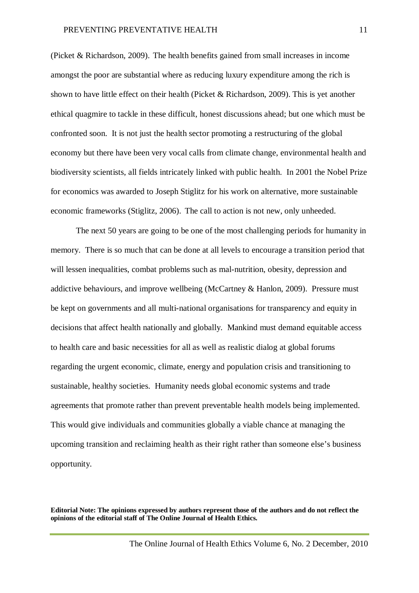(Picket & Richardson, 2009). The health benefits gained from small increases in income amongst the poor are substantial where as reducing luxury expenditure among the rich is shown to have little effect on their health (Picket & Richardson, 2009). This is yet another ethical quagmire to tackle in these difficult, honest discussions ahead; but one which must be confronted soon. It is not just the health sector promoting a restructuring of the global economy but there have been very vocal calls from climate change, environmental health and biodiversity scientists, all fields intricately linked with public health. In 2001 the Nobel Prize for economics was awarded to Joseph Stiglitz for his work on alternative, more sustainable economic frameworks (Stiglitz, 2006). The call to action is not new, only unheeded.

The next 50 years are going to be one of the most challenging periods for humanity in memory. There is so much that can be done at all levels to encourage a transition period that will lessen inequalities, combat problems such as mal-nutrition, obesity, depression and addictive behaviours, and improve wellbeing (McCartney & Hanlon, 2009). Pressure must be kept on governments and all multi-national organisations for transparency and equity in decisions that affect health nationally and globally. Mankind must demand equitable access to health care and basic necessities for all as well as realistic dialog at global forums regarding the urgent economic, climate, energy and population crisis and transitioning to sustainable, healthy societies. Humanity needs global economic systems and trade agreements that promote rather than prevent preventable health models being implemented. This would give individuals and communities globally a viable chance at managing the upcoming transition and reclaiming health as their right rather than someone else's business opportunity.

**Editorial Note: The opinions expressed by authors represent those of the authors and do not reflect the opinions of the editorial staff of The Online Journal of Health Ethics.**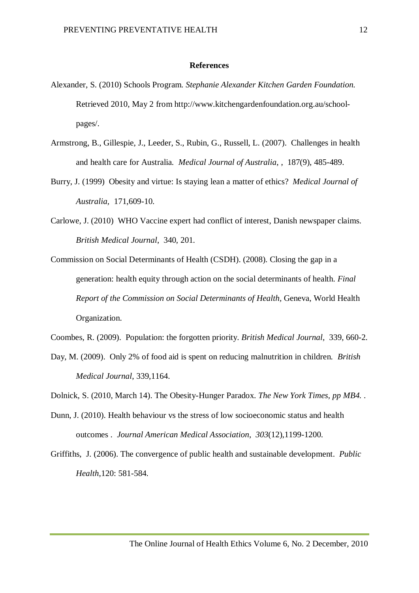#### **References**

- Alexander, S. (2010) Schools Program. *Stephanie Alexander Kitchen Garden Foundation.*  Retrieved 2010, May 2 from http://www.kitchengardenfoundation.org.au/schoolpages/.
- Armstrong, B., Gillespie, J., Leeder, S., Rubin, G., Russell, L. (2007). Challenges in health and health care for Australia*. Medical Journal of Australia*, , 187(9), 485-489.
- Burry, J. (1999) Obesity and virtue: Is staying lean a matter of ethics? *Medical Journal of Australia,* 171,609-10.
- Carlowe, J. (2010) WHO Vaccine expert had conflict of interest, Danish newspaper claims. *British Medical Journal*, 340, 201.
- Commission on Social Determinants of Health (CSDH). (2008). Closing the gap in a generation: health equity through action on the social determinants of health. *Final Report of the Commission on Social Determinants of Health,* Geneva, World Health Organization.

Coombes, R. (2009). Population: the forgotten priority. *British Medical Journal*, 339, 660-2.

- Day, M. (2009). Only 2% of food aid is spent on reducing malnutrition in children*. British Medical Journal*, 339,1164.
- Dolnick, S. (2010, March 14). The Obesity-Hunger Paradox. *The New York Times, pp MB4.* .
- Dunn, J. (2010). Health behaviour vs the stress of low socioeconomic status and health outcomes . *Journal American Medical Association*, *303*(12),1199-1200.
- Griffiths, J. (2006). The convergence of public health and sustainable development. *Public Health*,120: 581-584.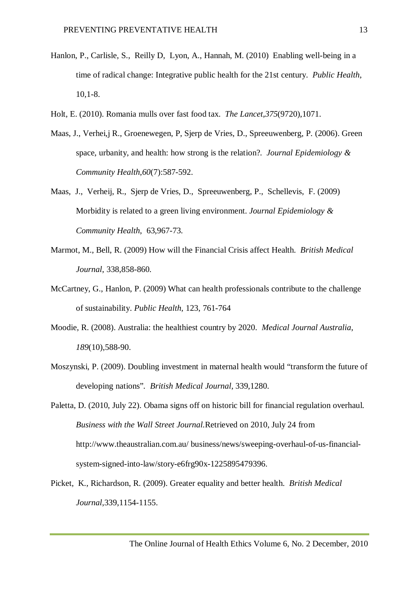- Hanlon, P., Carlisle, S., Reilly D, Lyon, A., Hannah, M. (2010) Enabling well-being in a time of radical change: Integrative public health for the 21st century. *Public Health*, 10,1-8.
- Holt, E. (2010). Romania mulls over fast food tax. *The Lancet*,*375*(9720),1071.
- Maas, J., Verhei,j R., Groenewegen, P, Sjerp de Vries, D., Spreeuwenberg, P*.* (2006). Green space, urbanity, and health: how strong is the relation?. *Journal Epidemiology & Community Health*,*60*(7):587-592.
- Maas, J., Verheij, R., Sjerp de Vries, D., Spreeuwenberg, P., Schellevis, F. (2009) Morbidity is related to a green living environment. *Journal Epidemiology & Community Health*, 63,967-73.
- Marmot, M., Bell, R. (2009) How will the Financial Crisis affect Health. *British Medical Journal*, 338,858-860.
- McCartney, G., Hanlon, P. (2009) What can health professionals contribute to the challenge of sustainability. *Public Health,* 123, 761-764
- Moodie, R. (2008). Australia: the healthiest country by 2020. *Medical Journal Australia*, *189*(10),588-90.
- Moszynski, P. (2009). Doubling investment in maternal health would "transform the future of developing nations"*. British Medical Journal*, 339,1280.
- Paletta, D. (2010, July 22). Obama signs off on historic bill for financial regulation overhaul. *Business with the Wall Street Journal.*Retrieved on 2010, July 24 from http://www.theaustralian.com.au/ business/news/sweeping-overhaul-of-us-financialsystem-signed-into-law/story-e6frg90x-1225895479396.
- Picket, K., Richardson, R. (2009). Greater equality and better health. *British Medical Journal*,339,1154-1155.